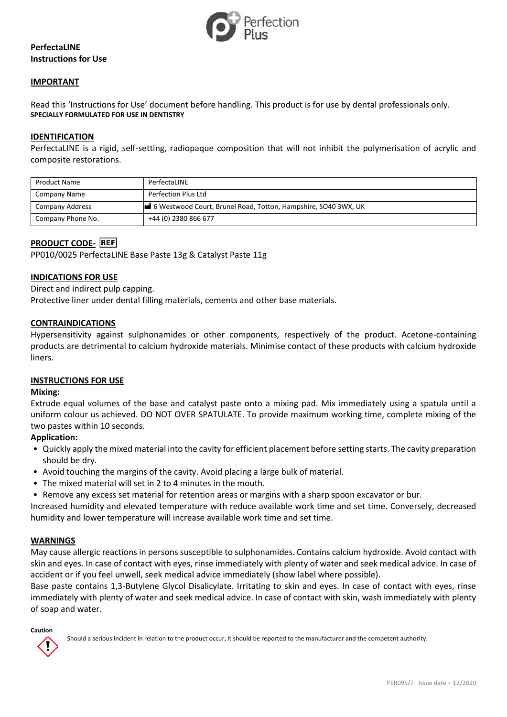

# **PerfectaLINE Instructions for Use**

## **IMPORTANT**

Read this 'Instructions for Use' document before handling. This product is for use by dental professionals only. **SPECIALLY FORMULATED FOR USE IN DENTISTRY**

## **IDENTIFICATION**

PerfectaLINE is a rigid, self-setting, radiopaque composition that will not inhibit the polymerisation of acrylic and composite restorations.

| <b>Product Name</b> | PerfectaLINE                                                   |
|---------------------|----------------------------------------------------------------|
| Company Name        | Perfection Plus Ltd                                            |
| Company Address     | 6 Westwood Court, Brunel Road, Totton, Hampshire, SO40 3WX, UK |
| Company Phone No.   | +44 (0) 2380 866 677                                           |

# **PRODUCT CODE-**

PP010/0025 PerfectaLINE Base Paste 13g & Catalyst Paste 11g

## **INDICATIONS FOR USE**

Direct and indirect pulp capping. Protective liner under dental filling materials, cements and other base materials.

## **CONTRAINDICATIONS**

Hypersensitivity against sulphonamides or other components, respectively of the product. Acetone-containing products are detrimental to calcium hydroxide materials. Minimise contact of these products with calcium hydroxide liners.

#### **INSTRUCTIONS FOR USE**

#### **Mixing:**

Extrude equal volumes of the base and catalyst paste onto a mixing pad. Mix immediately using a spatula until a uniform colour us achieved. DO NOT OVER SPATULATE. To provide maximum working time, complete mixing of the two pastes within 10 seconds.

# **Application:**

- Quickly apply the mixed material into the cavity for efficient placement before setting starts. The cavity preparation should be dry.
- Avoid touching the margins of the cavity. Avoid placing a large bulk of material.
- The mixed material will set in 2 to 4 minutes in the mouth.
- Remove any excess set material for retention areas or margins with a sharp spoon excavator or bur.

Increased humidity and elevated temperature with reduce available work time and set time. Conversely, decreased humidity and lower temperature will increase available work time and set time.

#### **WARNINGS**

May cause allergic reactions in persons susceptible to sulphonamides. Contains calcium hydroxide. Avoid contact with skin and eyes. In case of contact with eyes, rinse immediately with plenty of water and seek medical advice. In case of accident or if you feel unwell, seek medical advice immediately (show label where possible).

Base paste contains 1,3-Butylene Glycol Disalicylate. Irritating to skin and eyes. In case of contact with eyes, rinse immediately with plenty of water and seek medical advice. In case of contact with skin, wash immediately with plenty of soap and water.

# **Caution**

Should a serious incident in relation to the product occur, it should be reported to the manufacturer and the competent authority.